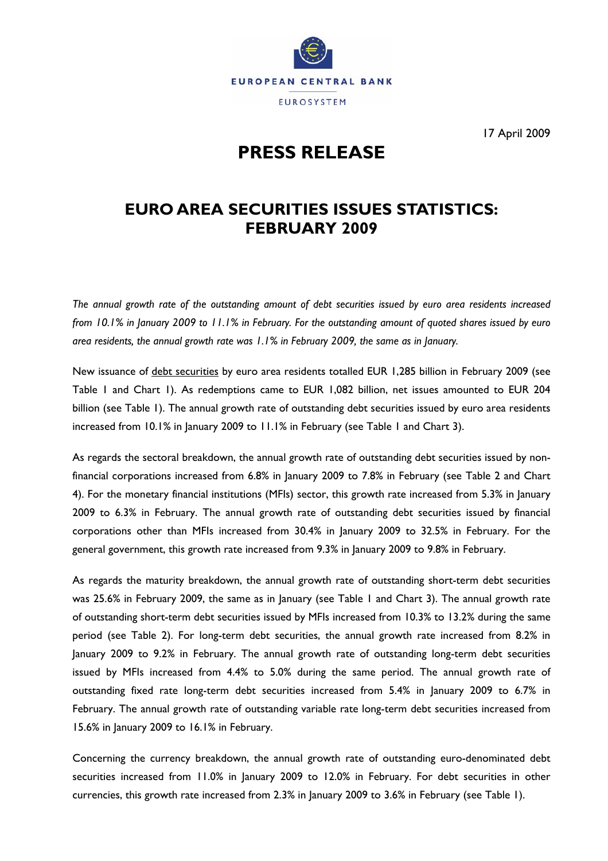

17 April 2009

# **PRESS RELEASE**

## **EURO AREA SECURITIES ISSUES STATISTICS: FEBRUARY 2009**

*The annual growth rate of the outstanding amount of debt securities issued by euro area residents increased from 10.1% in January 2009 to 11.1% in February. For the outstanding amount of quoted shares issued by euro area residents, the annual growth rate was 1.1% in February 2009, the same as in January.* 

New issuance of debt securities by euro area residents totalled EUR 1,285 billion in February 2009 (see Table 1 and Chart 1). As redemptions came to EUR 1,082 billion, net issues amounted to EUR 204 billion (see Table 1). The annual growth rate of outstanding debt securities issued by euro area residents increased from 10.1% in January 2009 to 11.1% in February (see Table 1 and Chart 3).

As regards the sectoral breakdown, the annual growth rate of outstanding debt securities issued by nonfinancial corporations increased from 6.8% in January 2009 to 7.8% in February (see Table 2 and Chart 4). For the monetary financial institutions (MFIs) sector, this growth rate increased from 5.3% in January 2009 to 6.3% in February. The annual growth rate of outstanding debt securities issued by financial corporations other than MFIs increased from 30.4% in January 2009 to 32.5% in February. For the general government, this growth rate increased from 9.3% in January 2009 to 9.8% in February.

As regards the maturity breakdown, the annual growth rate of outstanding short-term debt securities was 25.6% in February 2009, the same as in January (see Table 1 and Chart 3). The annual growth rate of outstanding short-term debt securities issued by MFIs increased from 10.3% to 13.2% during the same period (see Table 2). For long-term debt securities, the annual growth rate increased from 8.2% in January 2009 to 9.2% in February. The annual growth rate of outstanding long-term debt securities issued by MFIs increased from 4.4% to 5.0% during the same period. The annual growth rate of outstanding fixed rate long-term debt securities increased from 5.4% in January 2009 to 6.7% in February. The annual growth rate of outstanding variable rate long-term debt securities increased from 15.6% in January 2009 to 16.1% in February.

Concerning the currency breakdown, the annual growth rate of outstanding euro-denominated debt securities increased from 11.0% in January 2009 to 12.0% in February. For debt securities in other currencies, this growth rate increased from 2.3% in January 2009 to 3.6% in February (see Table 1).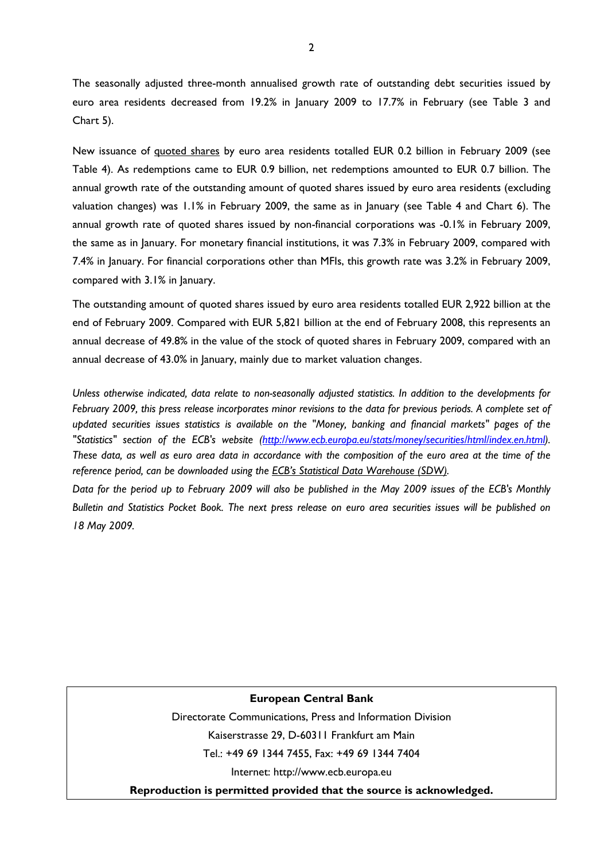The seasonally adjusted three-month annualised growth rate of outstanding debt securities issued by euro area residents decreased from 19.2% in January 2009 to 17.7% in February (see Table 3 and Chart 5).

New issuance of quoted shares by euro area residents totalled EUR 0.2 billion in February 2009 (see Table 4). As redemptions came to EUR 0.9 billion, net redemptions amounted to EUR 0.7 billion. The annual growth rate of the outstanding amount of quoted shares issued by euro area residents (excluding valuation changes) was 1.1% in February 2009, the same as in January (see Table 4 and Chart 6). The annual growth rate of quoted shares issued by non-financial corporations was -0.1% in February 2009, the same as in January. For monetary financial institutions, it was 7.3% in February 2009, compared with 7.4% in January. For financial corporations other than MFIs, this growth rate was 3.2% in February 2009, compared with 3.1% in January.

The outstanding amount of quoted shares issued by euro area residents totalled EUR 2,922 billion at the end of February 2009. Compared with EUR 5,821 billion at the end of February 2008, this represents an annual decrease of 49.8% in the value of the stock of quoted shares in February 2009, compared with an annual decrease of 43.0% in January, mainly due to market valuation changes.

*Unless otherwise indicated, data relate to non-seasonally adjusted statistics. In addition to the developments for February 2009, this press release incorporates minor revisions to the data for previous periods. A complete set of updated securities issues statistics is available on the "Money, banking and financial markets" pages of the "Statistics" section of the ECB's website [\(http://www.ecb.europa.eu/stats/money/securities/html/index.en.html](http://www.ecb.europa.eu/stats/money/securities/html/index.en.html)). These data, as well as euro area data in accordance with the composition of the euro area at the time of the reference period, can be downloaded using the [ECB's Statistical Data Warehouse \(SDW\).](http://sdw.ecb.int/browse.do?node=2018780)* 

*Data for the period up to February 2009 will also be published in the May 2009 issues of the ECB's Monthly Bulletin and Statistics Pocket Book. The next press release on euro area securities issues will be published on 18 May 2009.* 

## **European Central Bank**

Directorate Communications, Press and Information Division Kaiserstrasse 29, D-60311 Frankfurt am Main

Tel.: +49 69 1344 7455, Fax: +49 69 1344 7404

Internet: http://www.ecb.europa.eu

**Reproduction is permitted provided that the source is acknowledged.**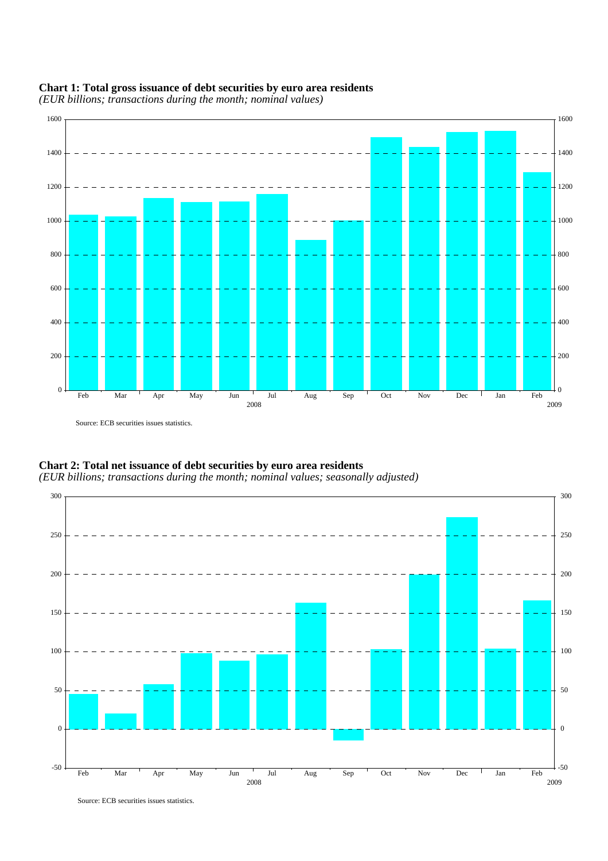

### **Chart 1: Total gross issuance of debt securities by euro area residents**

*(EUR billions; transactions during the month; nominal values)*

Source: ECB securities issues statistics.



**Chart 2: Total net issuance of debt securities by euro area residents** *(EUR billions; transactions during the month; nominal values; seasonally adjusted)*

Source: ECB securities issues statistics.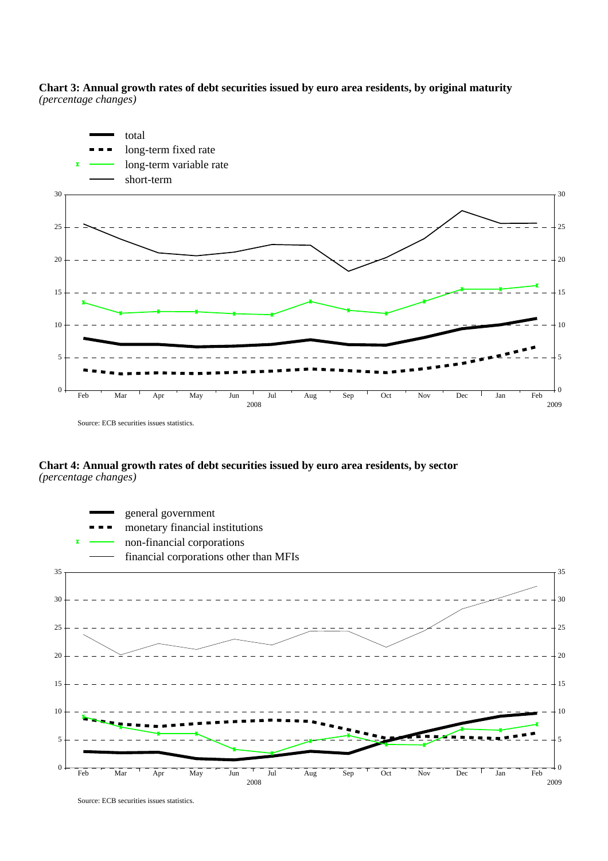**Chart 3: Annual growth rates of debt securities issued by euro area residents, by original maturity** *(percentage changes)*



**Chart 4: Annual growth rates of debt securities issued by euro area residents, by sector**  *(percentage changes)*



Source: ECB securities issues statistics.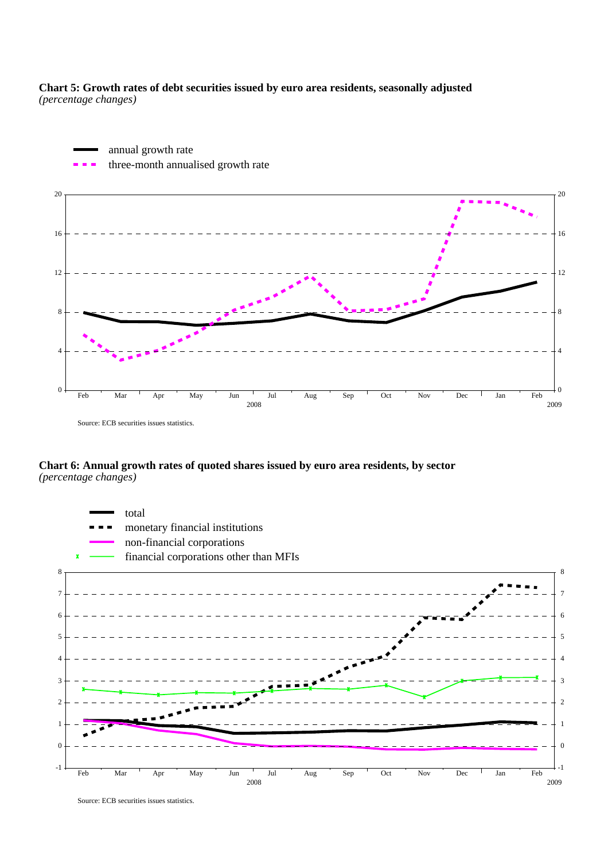**Chart 5: Growth rates of debt securities issued by euro area residents, seasonally adjusted** *(percentage changes)*



**Chart 6: Annual growth rates of quoted shares issued by euro area residents, by sector** *(percentage changes)*



Source: ECB securities issues statistics.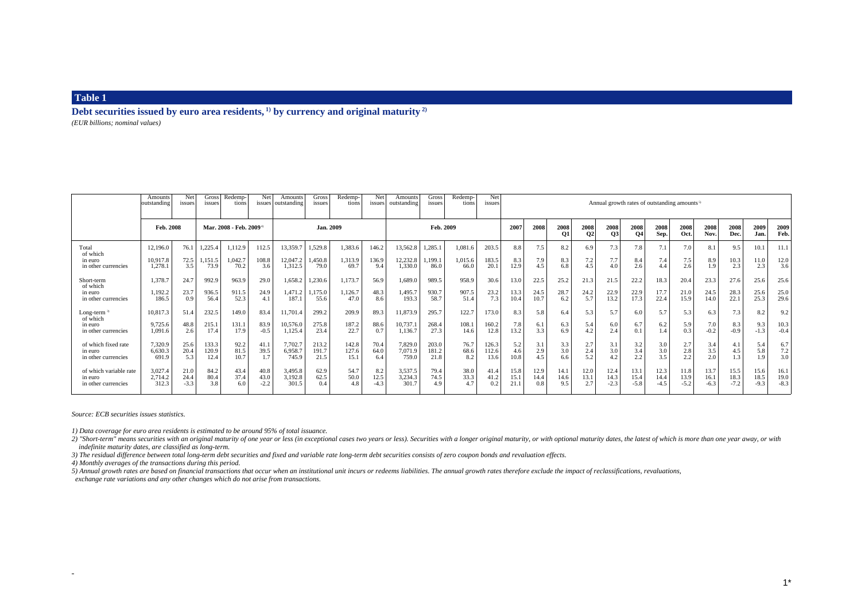**Debt securities issued by euro area residents, 1) by currency and original maturity 2)** *(EUR billions; nominal values)*

|                                                              | Amounts<br>outstanding         | Net<br>issues          | Gross<br>issues                    | Redemp-<br>tions           | Net                    | <b>Amounts</b><br>issues   outstanding | Gross<br>issues            | Redemp-<br>tions           | Net<br>issues         | Amounts<br>outstanding          | Gross<br>issues           | Redemp-<br>tions           | Net<br>issues          | Annual growth rates of outstanding amounts <sup>5)</sup> |                      |                          |                     |                        |                        |                          |                        |                        |                        |                        |                        |
|--------------------------------------------------------------|--------------------------------|------------------------|------------------------------------|----------------------------|------------------------|----------------------------------------|----------------------------|----------------------------|-----------------------|---------------------------------|---------------------------|----------------------------|------------------------|----------------------------------------------------------|----------------------|--------------------------|---------------------|------------------------|------------------------|--------------------------|------------------------|------------------------|------------------------|------------------------|------------------------|
|                                                              | Feb. 2008                      |                        | Mar. 2008 - Feb. 2009 <sup>+</sup> |                            |                        |                                        | Jan. 2009                  |                            |                       |                                 | Feb. 2009                 |                            |                        |                                                          | 2008                 | 2008<br><b>O1</b>        | 2008<br><b>O2</b>   | 2008<br>Q3             | 2008<br><b>O4</b>      | 2008<br>Sep.             | 2008<br>Oct.           | 2008<br>Nov.           | 2008<br>Dec.           | 2009<br>Jan.           | 2009<br>Feb.           |
| Total<br>of which<br>in euro<br>in other currencies          | 12,196.0<br>10,917.8<br>1.278. | 76.1<br>72.5<br>3.5    | 1,225.4<br>,151.5<br>73.9          | 1,112.9<br>1,042.7<br>70.2 | 112.5<br>108.8<br>3.6  | 13,359.7<br>12,047.2<br>1,312.5        | 1,529.8<br>1,450.8<br>79.0 | 1,383.6<br>1,313.9<br>69.7 | 146.2<br>136.9<br>9.4 | 13,562.8<br>12,232.8<br>1,330.0 | 1,285.1<br>,199.1<br>86.0 | 1,081.6<br>1,015.6<br>66.0 | 203.5<br>183.5<br>20.1 | 8.8<br>8.3<br>12.9                                       | 7.5<br>7.9<br>4.5    | 8.2<br>8.3<br>6.8        | 6.9<br>7.2<br>4.5   | 7.3<br>7.7<br>4.0      | 7.8<br>8.4<br>2.6      | 7.1<br>7.4<br>4.4        | 7.0<br>7.5<br>2.6      | 8.1<br>8.9<br>1.9      | 9.5<br>10.3<br>2.3     | 10.1<br>11.0<br>2.3    | 11.1<br>12.0<br>3.6    |
| Short-term<br>of which<br>in euro<br>in other currencies     | 1,378.7<br>1,192.2<br>186.5    | 24.7<br>23.7<br>0.9    | 992.9<br>936.5<br>56.4             | 963.9<br>911.5<br>52.3     | 29.0<br>24.9<br>4.1    | 1,658.2<br>1,471.2<br>187.1            | 1,230.6<br>1,175.0<br>55.6 | 1,173.7<br>1,126.7<br>47.0 | 56.9<br>48.3<br>8.6   | 1,689.0<br>1,495.7<br>193.3     | 989.5<br>930.7<br>58.7    | 958.9<br>907.5<br>51.4     | 30.6<br>23.2<br>7.3    | 13.0<br>13.3<br>10.4                                     | 22.5<br>24.5<br>10.7 | 25.2<br>28.7<br>6.2      | 21.3<br>24.2<br>5.7 | 21.5<br>22.9<br>13.2   | 22.2<br>22.9<br>17.3   | 18.3<br>17.7<br>22.4     | 20.4<br>21.0<br>15.9   | 23.3<br>24.5<br>14.0   | 27.6<br>28.3<br>22.1   | 25.6<br>25.6<br>25.3   | 25.6<br>25.0<br>29.6   |
| Long-term $3)$<br>of which<br>in euro<br>in other currencies | 10,817.3<br>9,725.6<br>1.091.6 | 51.4<br>48.8<br>2.6    | 232.5<br>215.1<br>17.4             | 149.0<br>131.1<br>17.9     | 83.4<br>83.9<br>$-0.5$ | 11,701.4<br>10,576.0<br>1,125.4        | 299.2<br>275.8<br>23.4     | 209.9<br>187.2<br>22.7     | 89.3<br>88.6<br>0.7   | 11,873.9<br>10,737.1<br>1,136.7 | 295.7<br>268.4<br>27.3    | 122.7<br>108.1<br>14.6     | 173.0<br>160.2<br>12.8 | 8.3<br>7.8<br>13.2                                       | 5.8<br>6.1<br>3.3    | 6.4<br>6.3<br>6.9        | 5.3<br>5.4<br>4.2   | 5.7<br>6.0<br>2.4      | 6.0<br>6.7<br>0.1      | 5.7<br>6.2<br>1.4        | 5.3<br>5.9<br>0.3      | 6.3<br>7.0<br>$-0.2$   | 7.3<br>8.3<br>$-0.9$   | 8.2<br>9.3<br>$-1.3$   | 9.2<br>10.3<br>$-0.4$  |
| of which fixed rate<br>in euro<br>in other currencies        | 7,320.9<br>6.630.3<br>691.9    | 25.6<br>20.4<br>5.3    | 133.3<br>120.9<br>12.4             | 92.2<br>81.5<br>10.7       | 41.1<br>39.5<br>1.7    | 7,702.7<br>6,958.7<br>745.9            | 213.2<br>191.7<br>21.5     | 142.8<br>127.6<br>15.1     | 70.4<br>64.0<br>6.4   | 7,829.0<br>7,071.9<br>759.0     | 203.0<br>181.2<br>21.8    | 76.7<br>68.6<br>8.2        | 126.3<br>112.6<br>13.6 | 5.2<br>4.6<br>10.8                                       | 3.1<br>2.9<br>4.5    | $\frac{3.3}{3.0}$<br>6.6 | 2.7<br>2.4<br>5.2   | 3.1<br>3.0<br>4.2      | 3.2<br>3.4<br>2.2      | $\frac{3.0}{3.0}$<br>3.5 | 2.7<br>2.8<br>2.2      | 3.4<br>3.5<br>2.0      | 4.5<br>1.3             | 5.4<br>5.8<br>1.9      | 6.7<br>7.2<br>3.0      |
| of which variable rate<br>in euro<br>in other currencies     | 3,027.4<br>2,714.2<br>312.3    | 21.0<br>24.4<br>$-3.3$ | 84.2<br>80.4<br>3.8                | 43.4<br>37.4<br>6.0        | 40.8<br>43.0<br>$-2.2$ | 3,495.8<br>3,192.8<br>301.5            | 62.9<br>62.5<br>0.4        | 54.7<br>50.0<br>4.8        | 8.2<br>12.5<br>$-4.3$ | 3,537.5<br>3,234.3<br>301.7     | 79.4<br>74.5<br>4.9       | 38.0<br>33.3<br>4.7        | 41.4<br>41.2<br>0.2    | 15.8<br>15.1<br>21.1                                     | 12.9<br>14.4<br>0.8  | 14.1<br>14.6<br>9.5      | 12.0<br>13.1<br>2.7 | 12.4<br>14.3<br>$-2.3$ | 13.1<br>15.4<br>$-5.8$ | 12.3<br>14.4<br>$-4.5$   | 11.8<br>13.9<br>$-5.2$ | 13.7<br>16.1<br>$-6.3$ | 15.5<br>18.3<br>$-7.2$ | 15.6<br>18.5<br>$-9.3$ | 16.1<br>19.0<br>$-8.3$ |

*Source: ECB securities issues statistics.*

 $\overline{\phantom{a}}$ 

*1) Data coverage for euro area residents is estimated to be around 95% of total issuance.*

2) "Short-term" means securities with an original maturity of one year or less (in exceptional cases two years or less). Securities with a longer original maturity, or with optional maturity dates, the latest of which is m  *indefinite maturity dates, are classified as long-term.*

*3) The residual difference between total long-term debt securities and fixed and variable rate long-term debt securities consists of zero coupon bonds and revaluation effects.*

*4) Monthly averages of the transactions during this period.*

*5*) Annual growth rates are based on financial transactions that occur when an institutional unit incurs or redeems liabilities. The annual growth rates therefore exclude the impact of reclassifications, revaluations,

 *exchange rate variations and any other changes which do not arise from transactions.*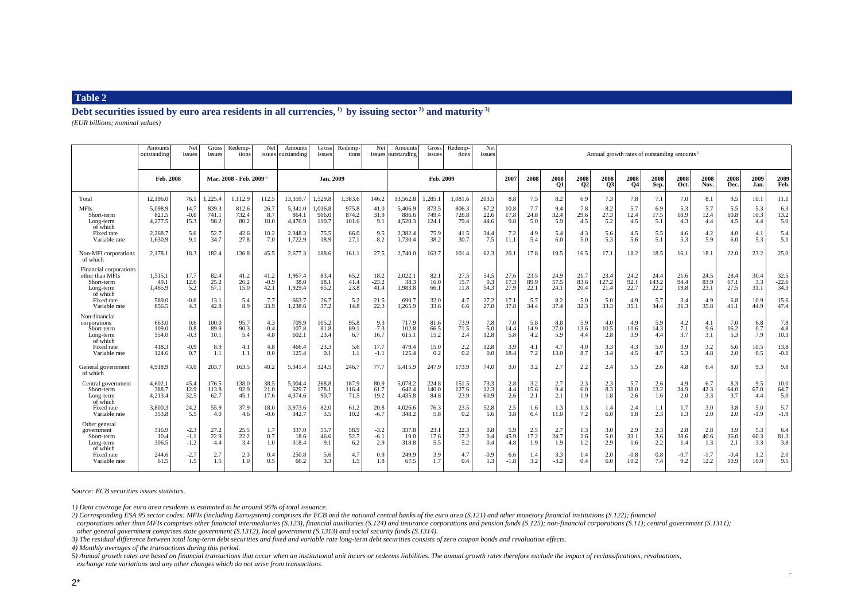**Debt securities issued by euro area residents in all currencies, 1) by issuing sector 2) and maturity 3)** *(EUR billions; nominal values)*

|                                                                                  | Amount:<br>outstanding      | Net<br>issues              | Gross<br>issues                    | Redemp-<br>tions       | Net                    | Amounts<br>issues outstanding | Gross<br>issues           | Redemp-<br>tions        | Net                     | Amounts<br>issues outstanding | Gross<br>issues         | <b>Redemp-</b><br>tions | Net<br>issues         | Annual growth rates of outstanding amounts <sup>5</sup> |                        |                      |                      |                       |                      |                       |                      |                      |                      |                     |                         |
|----------------------------------------------------------------------------------|-----------------------------|----------------------------|------------------------------------|------------------------|------------------------|-------------------------------|---------------------------|-------------------------|-------------------------|-------------------------------|-------------------------|-------------------------|-----------------------|---------------------------------------------------------|------------------------|----------------------|----------------------|-----------------------|----------------------|-----------------------|----------------------|----------------------|----------------------|---------------------|-------------------------|
|                                                                                  | Feb. 2008                   |                            | Mar. 2008 - Feb. 2009 <sup>4</sup> |                        | Jan. 2009              |                               |                           | Feb. 2009               |                         |                               | 2007                    | 2008                    | 2008<br><b>O1</b>     | 2008<br>Q <sub>2</sub>                                  | 2008<br>Q <sub>3</sub> | 2008<br>Q4           | 2008<br>Sep.         | 2008<br>Oct.          | 2008<br>Nov.         | 2008<br>Dec.          | 2009<br>Jan.         | 2009<br>Feb.         |                      |                     |                         |
| Total                                                                            | 12,196.0                    | 76.1                       | 1,225.4                            | 1,112.9                | 112.5                  | 13,359.7                      | 1.529.8                   | 1,383.6                 | 146.2                   | 13,562.8                      | 1,285.1                 | 1.081.6                 | 203.5                 | 8.8                                                     | 7.5                    | 8.2                  | 6.9                  | 7.3                   | 7.8                  | 7.1                   | 7.0                  | 8.1                  | 9.5                  | 10.1                | 11.1                    |
| <b>MFIs</b><br>Short-term<br>Long-term<br>of which                               | 5,098.9<br>821.5<br>4.277.5 | 14.7<br>$-0.6$<br>15.3     | 839.3<br>741.1<br>98.2             | 812.6<br>732.4<br>80.2 | 26.7<br>8.7<br>18.0    | 5,341.0<br>864.1<br>4,476.9   | 1,016.8<br>906.0<br>110.7 | 975.8<br>874.2<br>101.6 | 41.0<br>31.9<br>9.1     | 5,406.9<br>886.6<br>4.520.3   | 873.5<br>749.4<br>124.1 | 806.3<br>726.8<br>79.4  | 67.2<br>22.6<br>44.6  | 10.8<br>17.8<br>9.8                                     | 7.7<br>24.8<br>5.0     | 9.4<br>32.4<br>5.9   | 7.8<br>29.6<br>4.5   | 8.2<br>27.3<br>5.2    | 5.7<br>12.4<br>4.5   | 6.9<br>17.5<br>5.1    | 5.3<br>10.9<br>4.3   | 5.7<br>12.4<br>4.4   | 5.5<br>10.8<br>4.5   | 5.3<br>10.3<br>4.4  | 6.3<br>13.2<br>5.0      |
| Fixed rate<br>Variable rate                                                      | 2,268.7<br>1.630.9          | 5.6<br>9.1                 | 52.7<br>34.7                       | 42.6<br>27.8           | 10.2<br>7.0            | 2,348.3<br>1,722.9            | 75.5<br>18.9              | 66.0<br>27.1            | 9.5<br>$-8.2$           | 2,382.4<br>1,730.4            | 75.9<br>38.2            | 41.5<br>30.7            | 34.4<br>7.5           | 7.2<br>11.1                                             | 4.9<br>5.4             | 5.4<br>6.0           | 4.3<br>5.0           | 5.6<br>5.3            | 4.5<br>5.6           | 5.5<br>5.1            | 4.6<br>5.3           | 4.2<br>5.9           | 4.0<br>6.0           | 4.1<br>5.3          | 5.4<br>5.1              |
| Non-MFI corporations<br>of which                                                 | 2.178.1                     | 18.3                       | 182.4                              | 136.8                  | 45.5                   | 2,677.3                       | 188.6                     | 161.1                   | 27.5                    | 2,740.0                       | 163.7                   | 101.4                   | 62.3                  | 20.1                                                    | 17.8                   | 19.5                 | 16.5                 | 17.1                  | 18.2                 | 18.5                  | 16.1                 | 18.1                 | 22.0                 | 23.2                | 25.0                    |
| Financial corporations<br>other than MFIs<br>Short-term<br>Long-term<br>of which | 1,515.1<br>49.1<br>1,465.9  | 17.7<br>12.6<br>5.2        | 82.4<br>25.2<br>57.1               | 41.2<br>26.2<br>15.0   | 41.2<br>$-0.9$<br>42.1 | 1,967.4<br>38.0<br>1,929.4    | 83.4<br>18.1<br>65.2      | 65.2<br>41.4<br>23.8    | 18.2<br>$-23.2$<br>41.4 | 2,022.1<br>38.3<br>1.983.8    | 82.1<br>16.0<br>66.1    | 27.5<br>15.7<br>11.8    | 54.5<br>0.3<br>54.3   | 27.6<br>17.3<br>27.9                                    | 23.5<br>89.9<br>22.1   | 24.9<br>57.5<br>24.1 | 21.7<br>83.6<br>20.4 | 23.4<br>127.2<br>21.4 | 24.2<br>92.1<br>22.7 | 24.4<br>143.2<br>22.2 | 21.6<br>94.4<br>19.8 | 24.5<br>83.9<br>23.1 | 28.4<br>67.1<br>27.5 | 30.4<br>3.3<br>31.1 | 32.5<br>$-22.6$<br>34.3 |
| Fixed rate<br>Variable rate                                                      | 589.0<br>856.5              | $-0.6$<br>4.3              | 13.1<br>42.8                       | 5.4<br>8.9             | 7.7<br>33.9            | 663.7<br>1,238.6              | 26.7<br>37.2              | 5.2<br>14.8             | 21.5<br>22.3            | 690.7<br>1.265.9              | 32.0<br>33.6            | 4.7<br>6.6              | 27.2<br>27.0          | 17.1<br>37.8                                            | 5.7<br>34.4            | 8.2<br>37.4          | 5.0<br>32.3          | 5.0<br>33.3           | 4.9<br>35.1          | 5.7<br>34.4           | 3.4<br>31.3          | 4.9<br>35.8          | 6.8<br>41.1          | 10.9<br>44.9        | 15.6<br>47.4            |
| Non-financial<br>corporations<br>Short-term<br>Long-term<br>of which             | 663.0<br>109.0<br>554.0     | 0.6<br>0.8<br>$-0.3$       | 100.0<br>89.9<br>10.1              | 95.7<br>90.3<br>5.4    | 4.3<br>$-0.4$<br>4.8   | 709.9<br>107.8<br>602.1       | 105.2<br>81.8<br>23.4     | 95.8<br>89.1<br>6.7     | 9.3<br>$-7.3$<br>16.7   | 717.9<br>102.8<br>615.1       | 81.6<br>66.5<br>15.2    | 73.9<br>71.5<br>2.4     | 7.8<br>$-5.0$<br>12.8 | 7.0<br>14.4<br>5.8                                      | 5.8<br>14.9<br>4.2     | 8.8<br>27.0<br>5.9   | 5.9<br>13.6<br>4.4   | 4.0<br>10.5<br>2.8    | 4.9<br>10.6<br>3.9   | 5.9<br>14.3<br>4.4    | 4.2<br>7.1<br>3.7    | 4.1<br>9.6<br>3.1    | 7.0<br>16.2<br>5.3   | 6.8<br>0.7<br>7.9   | 7.8<br>$-4.8$<br>10.3   |
| Fixed rate<br>Variable rate                                                      | 418.3<br>124.6              | $-0.9$<br>0.7              | 8.9<br>1.1                         | 4.1<br>1.1             | 4.8<br>0.0             | 466.4<br>125.4                | 23.3<br>0.1               | 5.6<br>1.1              | 17.7<br>$-1.1$          | 479.4<br>125.4                | 15.0<br>0.2             | 2.2<br>0.2              | 12.8<br>0.0           | 3.9<br>18.4                                             | 4.1<br>7.2             | 4.7<br>13.0          | 4.0<br>8.7           | 3.3<br>3.4            | 4.3<br>4.5           | 5.0<br>4.7            | 3.9<br>5.3           | 3.2<br>4.8           | 6.6<br>2.0           | 10.5<br>0.5         | 13.8<br>$-0.1$          |
| General government<br>of which                                                   | 4.918.9                     | 43.0                       | 203.7                              | 163.5                  | 40.2                   | 5,341.4                       | 324.5                     | 246.7                   | 77.7                    | 5,415.9                       | 247.9                   | 173.9                   | 74.0                  | 3.0                                                     | 3.2                    | 2.7                  | 2.2                  | 2.4                   | 5.5                  | 2.6                   | 4.8                  | 6.4                  | 8.0                  | 9.3                 | 9.8                     |
| Central government<br>Short-term<br>Long-term<br>of which                        | 4,602.1<br>388.7<br>4,213.4 | 45.4<br>12.9<br>32.5       | 176.5<br>113.8<br>62.7             | 138.0<br>92.9<br>45.1  | 38.5<br>21.0<br>17.6   | 5,004.4<br>629.7<br>4,374.6   | 268.8<br>178.1<br>90.7    | 187.9<br>116.4<br>71.5  | 80.9<br>61.7<br>19.2    | 5,078.2<br>642.4<br>4,435.8   | 224.8<br>140.0<br>84.8  | 151.5<br>127.6<br>23.9  | 73.3<br>12.3<br>60.9  | 2.8<br>4.4<br>2.6                                       | 3.2<br>15.6<br>2.1     | 2.7<br>9.4<br>2.1    | 2.3<br>6.0<br>1.9    | 2.3<br>8.3<br>1.8     | 5.7<br>38.0<br>2.6   | 2.6<br>13.2<br>1.6    | 4.9<br>34.9<br>2.0   | 6.7<br>42.3<br>3.3   | 8.3<br>64.0<br>3.7   | 9.5<br>67.0<br>4.4  | 10.0<br>64.7<br>5.0     |
| Fixed rate<br>Variable rate                                                      | 3,800.3<br>353.8            | 24.2<br>5.5                | 55.9<br>4.0                        | 37.9<br>4.6            | 18.0<br>$-0.6$         | 3.973.6<br>342.7              | 82.0<br>3.5               | 61.2<br>10.2            | 20.8<br>$-6.7$          | 4.026.6<br>348.2              | 76.3<br>5.8             | 23.5<br>0.2             | 52.8<br>5.6           | 2.5<br>3.8                                              | 1.6<br>6.4             | 1.3<br>11.0          | 1.3<br>7.2           | 1.4<br>6.0            | 2.4<br>1.8           | 1.1<br>2.3            | 1.7<br>1.3           | 3.0<br>2.0           | 3.8<br>2.0           | 5.0<br>$-1.9$       | 5.7<br>$-1.9$           |
| Other genera<br>government<br>Short-term<br>Long-term<br>of which                | 316.9<br>10.4<br>306.5      | $-2.3$<br>$-1.1$<br>$-1.2$ | 27.2<br>22.9<br>4.4                | 25.5<br>22.2<br>3.4    | 1.7<br>0.7<br>1.0      | 337.0<br>18.6<br>318.4        | 55.7<br>46.6<br>9.1       | 58.9<br>52.7<br>6.2     | $-3.2$<br>$-6.1$<br>2.9 | 337.8<br>19.0<br>318.8        | 23.1<br>17.6<br>5.5     | 22.3<br>17.2<br>5.2     | 0.8<br>0.4<br>0.4     | 5.9<br>45.9<br>4.8                                      | 2.5<br>17.2<br>1.9     | 2.7<br>24.7<br>1.9   | 1.3<br>2.6<br>1.2    | 3.0<br>5.0<br>2.9     | 2.9<br>33.1<br>1.6   | 2.3<br>3.6<br>2.2     | 2.8<br>38.6<br>1.4   | 2.8<br>40.6<br>1.3   | 3.9<br>36.0<br>2.1   | 5.3<br>60.3<br>3.3  | 6.4<br>81.3<br>3.8      |
| Fixed rate<br>Variable rate                                                      | 244.6<br>61.5               | $-2.7$<br>1.5              | 2.7<br>1.5                         | 2.3<br>1.0             | 0.4<br>0.5             | 250.8<br>66.2                 | 5.6<br>3.3                | 4.7<br>1.5              | 0.9<br>1.8              | 249.9<br>67.5                 | 3.9<br>1.7              | 4.7<br>0.4              | $-0.9$<br>1.3         | 6.6<br>$-1.8$                                           | 1.4<br>3.2             | 3.3<br>$-3.2$        | 1.4<br>0.4           | 2.0<br>6.0            | $-0.8$<br>10.2       | 0.8<br>7.4            | $-0.7$<br>9.2        | $-1.7$<br>12.2       | $-0.4$<br>10.9       | 1.2<br>10.0         | 2.0<br>9.5              |

*Source: ECB securities issues statistics.*

*1) Data coverage for euro area residents is estimated to be around 95% of total issuance.*

*4) Monthly averages of the transactions during this period.*

*5) Annual growth rates are based on financial transactions that occur when an institutional unit incurs or redeems liabilities. The annual growth rates therefore exclude the impact of reclassifications, revaluations, exchange rate variations and any other changes which do not arise from transactions.*

*<sup>2)</sup> Corresponding ESA 95 sector codes: MFIs (including Eurosystem) comprises the ECB and the national central banks of the euro area (S.121) and other monetary financial institutions (S.122); financial*

corporations other than MFIs comprises other financial intermediaries (S.123), financial auxiliaries (S.124) and insurance corporations and pension funds (S.125); non-financial corporations (S.11); central government (S.13  *other general government comprises state government (S.1312), local government (S.1313) and social security funds (S.1314).*

*<sup>3)</sup> The residual difference between total long-term debt securities and fixed and variable rate long-term debt securities consists of zero coupon bonds and revaluation effects.*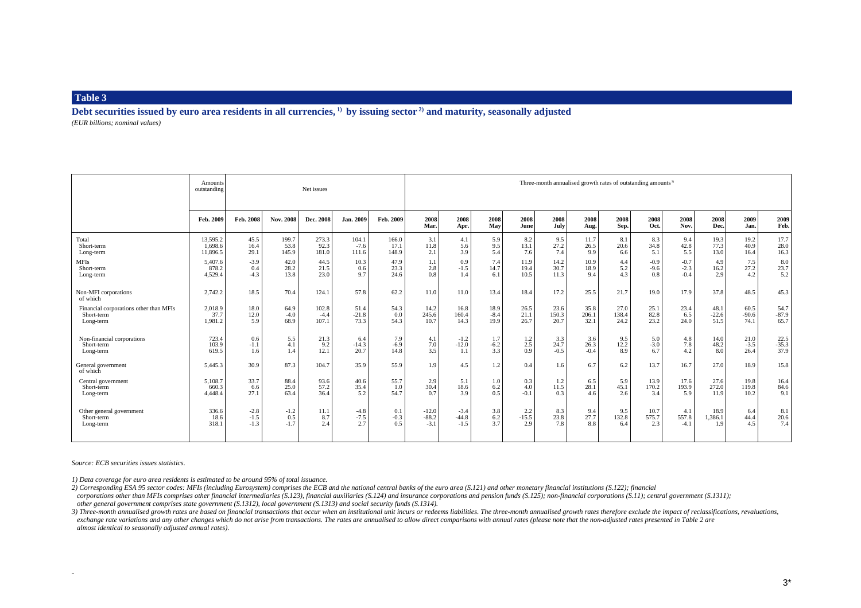**Debt securities issued by euro area residents in all currencies, 1) by issuing sector 2) and maturity, seasonally adjusted** *(EUR billions; nominal values)*

|                                                     | <b>Amounts</b><br>outstanding |                            |                         | Net issues         |                         |                      | Three-month annualised growth rates of outstanding amounts <sup>3)</sup> |                             |                          |                       |                    |                    |                     |                      |                        |                        |                    |                    |  |  |  |
|-----------------------------------------------------|-------------------------------|----------------------------|-------------------------|--------------------|-------------------------|----------------------|--------------------------------------------------------------------------|-----------------------------|--------------------------|-----------------------|--------------------|--------------------|---------------------|----------------------|------------------------|------------------------|--------------------|--------------------|--|--|--|
|                                                     | Feb. 2009                     | Feb. 2008                  | Nov. 2008               | Dec. 2008          | Jan. 2009               | Feb. 2009            | 2008<br>Mar.                                                             | 2008<br>Apr.                | 2008<br>May              | 2008<br>June          | 2008<br>July       | 2008<br>Aug.       | 2008<br>Sep.        | 2008<br>Oct.         | 2008<br>Nov.           | 2008<br>Dec.           | 2009<br>Jan.       | 2009<br>Feb.       |  |  |  |
| Total                                               | 13.595.2                      | 45.5                       | 199.7                   | 273.3              | 104.1                   | 166.0                | 3.1                                                                      | 4.1                         | 5.9                      | 8.2                   | 9.5                | 11.7               | 8.1                 | 8.3                  | 9.4                    | 19.3                   | 19.2               | 17.7               |  |  |  |
| Short-term                                          | 1.698.6                       | 16.4                       | 53.8                    | 92.3               | $-7.6$                  | 17.1                 | 11.8                                                                     | 5.6                         | 9.5                      | 13.1                  | 27.2               | 26.5               | 20.6                | 34.8                 | 42.8                   | 77.3                   | 40.9               | 28.0               |  |  |  |
| Long-term                                           | 11,896.5                      | 29.1                       | 145.9                   | 181.0              | 111.6                   | 148.9                | 2.1                                                                      | 3.9                         | 5.4                      | 7.6                   | 7.4                | 9.9                | 6.6                 | 5.1                  | 5.5                    | 13.0                   | 16.4               | 16.3               |  |  |  |
| <b>MFIs</b>                                         | 5.407.6                       | $-3.9$                     | 42.0                    | 44.5               | 10.3                    | 47.9                 | 1.1                                                                      | 0.9                         | 7.4                      | 11.9                  | 14.2               | 10.9               | 4.4                 | $-0.9$               | $-0.7$                 | 4.9                    | 7.5                | 8.0                |  |  |  |
| Short-term                                          | 878.2                         | 0.4                        | 28.2                    | 21.5               | 0.6                     | 23.3                 | 2.8                                                                      | $-1.5$                      | 14.7                     | 19.4                  | 30.7               | 18.9               | 5.2                 | $-9.6$               | $-2.3$                 | 16.2                   | 27.2               | 23.7               |  |  |  |
| Long-term                                           | 4,529.4                       | $-4.3$                     | 13.8                    | 23.0               | 9.7                     | 24.6                 | 0.8                                                                      | 1.4                         | 6.1                      | 10.5                  | 11.3               | 9.4                | 4.3                 | 0.8                  | $-0.4$                 | 2.9                    | 4.2                | 5.2                |  |  |  |
| Non-MFI corporations<br>of which                    | 2.742.2                       | 18.5                       | 70.4                    | 124.1              | 57.8                    | 62.2                 | 11.0                                                                     | 11.0                        | 13.4                     | 18.4                  | 17.2               | 25.5               | 21.7                | 19.0                 | 17.9                   | 37.8                   | 48.5               | 45.3               |  |  |  |
| Financial corporations other than MFIs              | 2,018.9                       | 18.0                       | 64.9                    | 102.8              | 51.4                    | 54.3                 | 14.2                                                                     | 16.8                        | 18.9                     | 26.5                  | 23.6               | 35.8               | 27.0                | 25.1                 | 23.4                   | 48.1                   | 60.5               | 54.7               |  |  |  |
| Short-term                                          | 37.7                          | 12.0                       | $-4.0$                  | $-4.4$             | $-21.8$                 | 0.0                  | 245.6                                                                    | 160.4                       | $-8.4$                   | 21.1                  | 150.3              | 206.1              | 138.4               | 82.8                 | 6.5                    | $-22.6$                | $-90.6$            | $-87.9$            |  |  |  |
| Long-term                                           | 1,981.2                       | 5.9                        | 68.9                    | 107.1              | 73.3                    | 54.3                 | 10.7                                                                     | 14.3                        | 19.9                     | 26.7                  | 20.7               | 32.1               | 24.2                | 23.2                 | 24.0                   | 51.5                   | 74.1               | 65.7               |  |  |  |
| Non-financial corporations                          | 723.4                         | 0.6                        | 5.5                     | 21.3               | 6.4                     | 7.9                  | 4.1                                                                      | $-1.2$                      | 1.7                      | 1.2                   | 3.3                | 3.6                | 9.5                 | 5.0                  | 4.8                    | 14.0                   | 21.0               | 22.5               |  |  |  |
| Short-term                                          | 103.9                         | $-1.1$                     | 4.1                     | 9.2                | $-14.3$                 | $-6.9$               | 7.0                                                                      | $-12.0$                     | $-6.2$                   | 2.5                   | 24.7               | 26.3               | 12.2                | $-3.0$               | 7.8                    | 48.2                   | $-3.5$             | $-35.3$            |  |  |  |
| Long-term                                           | 619.5                         | 1.6                        | 1.4                     | 12.1               | 20.7                    | 14.8                 | 3.5                                                                      | 1.1                         | 3.3                      | 0.9                   | $-0.5$             | $-0.4$             | 8.9                 | 6.7                  | 4.2                    | 8.0                    | 26.4               | 37.9               |  |  |  |
| General government<br>of which                      | 5,445.3                       | 30.9                       | 87.3                    | 104.7              | 35.9                    | 55.9                 | 1.9                                                                      | 4.5                         | 1.2                      | 0.4                   | 1.6                | 6.7                | 6.2                 | 13.7                 | 16.7                   | 27.0                   | 18.9               | 15.8               |  |  |  |
| Central government                                  | 5.108.7                       | 33.7                       | 88.4                    | 93.6               | 40.6                    | 55.7                 | 2.9                                                                      | 5.1                         | 1.0                      | 0.3                   | 1.2                | 6.5                | 5.9                 | 13.9                 | 17.6                   | 27.6                   | 19.8               | 16.4               |  |  |  |
| Short-term                                          | 660.3                         | 6.6                        | 25.0                    | 57.2               | 35.4                    | 1.0                  | 30.4                                                                     | 18.6                        | 6.2                      | 4.0                   | 11.5               | 28.1               | 45.1                | 170.2                | 193.9                  | 272.0                  | 119.8              | 84.6               |  |  |  |
| Long-term                                           | 4.448.4                       | 27.1                       | 63.4                    | 36.4               | 5.2                     | 54.7                 | 07                                                                       | 3.9                         | 0.5                      | $-0.1$                | 0.3                | 4.6                | 2.6                 | 3.4                  | 5.9                    | 11.9                   | 10.2               | 9.1                |  |  |  |
| Other general government<br>Short-term<br>Long-term | 336.6<br>18.6<br>318.1        | $-2.8$<br>$-1.5$<br>$-1.3$ | $-1.2$<br>0.5<br>$-1.7$ | 11.1<br>8.7<br>2.4 | $-4.8$<br>$-7.5$<br>2.7 | 0.1<br>$-0.3$<br>0.5 | $-12.0$<br>$-88.2$<br>$-3.1$                                             | $-3.4$<br>$-44.8$<br>$-1.5$ | 3.8<br>$\frac{6.2}{3.7}$ | 2.2<br>$-15.5$<br>2.9 | 8.3<br>23.8<br>7.8 | 9.4<br>27.7<br>8.8 | 9.5<br>132.8<br>6.4 | 10.7<br>575.7<br>2.3 | 4.1<br>557.8<br>$-4.1$ | 18.9<br>1,386.1<br>1.9 | 6.4<br>44.4<br>4.5 | 8.1<br>20.6<br>7.4 |  |  |  |

*Source: ECB securities issues statistics.*

÷.

*1) Data coverage for euro area residents is estimated to be around 95% of total issuance.*

*2) Corresponding ESA 95 sector codes: MFIs (including Eurosystem) comprises the ECB and the national central banks of the euro area (S.121) and other monetary financial institutions (S.122); financial* corporations other than MFIs comprises other financial intermediaries (S.123), financial auxiliaries (S.124) and insurance corporations and pension funds (S.125); non-financial corporations (S.11); central government (S.13  *other general government comprises state government (S.1312), local government (S.1313) and social security funds (S.1314).*

3) Three-month annualised growth rates are based on financial transactions that occur when an institutional unit incurs or redeems liabilities. The three-month annualised growth rates therefore exclude the impact of reclas exchange rate variations and any other changes which do not arise from transactions. The rates are annualised to allow direct comparisons with annual rates (please note that the non-adjusted rates presented in Table 2 are  *almost identical to seasonally adjusted annual rates).*